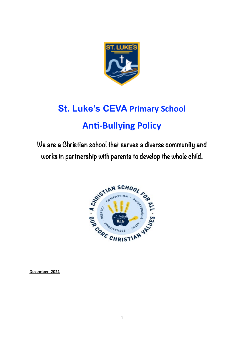

# **St. Luke's CEVA Primary School Anti-Bullying Policy**

**We are a Christian school that serves a diverse community and works in partnership with parents to develop the whole child.**



**December 2021**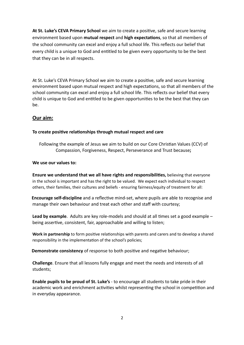**At St. Luke's CEVA Primary School** we aim to create a positive, safe and secure learning environment based upon **mutual respect** and **high expectations**, so that all members of the school community can excel and enjoy a full school life. This reflects our belief that every child is a unique to God and entitled to be given every opportunity to be the best that they can be in all respects.

At St. Luke's CEVA Primary School we aim to create a positive, safe and secure learning environment based upon mutual respect and high expectations, so that all members of the school community can excel and enjoy a full school life. This reflects our belief that every child is unique to God and entitled to be given opportunities to be the best that they can be.

# **Our aim:**

## **To create positive relationships through mutual respect and care**

Following the example of Jesus we aim to build on our Core Christian Values (CCV) of Compassion, Forgiveness, Respect, Perseverance and Trust because**;**

## **We use our values to:**

**Ensure we understand that we all have rights and responsibilities,** believing that everyone in the school is important and has the right to be valued. We expect each individual to respect others, their families, their cultures and beliefs - ensuring fairness/equity of treatment for all:

 **Encourage self-discipline** and a reflective mind-set, where pupils are able to recognise and manage their own behaviour and treat each other and staff with courtesy;

**Lead by example**. Adults are key role-models and should at all times set a good example – being assertive, consistent, fair, approachable and willing to listen;

**Work in partnership** to form positive relationships with parents and carers and to develop a shared responsibility in the implementation of the school's policies;

 **Demonstrate consistency** of response to both positive and negative behaviour;

**Challenge**. Ensure that all lessons fully engage and meet the needs and interests of all students;

**Enable pupils to be proud of St. Luke's** - to encourage all students to take pride in their academic work and enrichment activities whilst representing the school in competition and in everyday appearance.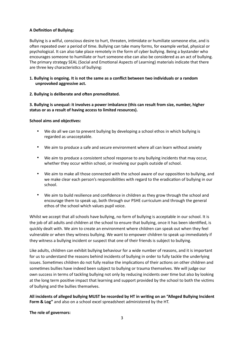## **A Definition of Bullying:**

Bullying is a wilful, conscious desire to hurt, threaten, intimidate or humiliate someone else, and is often repeated over a period of time. Bullying can take many forms, for example verbal, physical or psychological. It can also take place remotely in the form of cyber bullying. Being a bystander who encourages someone to humiliate or hurt someone else can also be considered as an act of bullying. The primary strategy SEAL (Social and Emotional Aspects of Learning) materials indicate that there are three key characteristics of bullying:

#### **1. Bullying is ongoing. It is not the same as a conflict between two individuals or a random unprovoked aggressive act.**

#### **2. Bullying is deliberate and often premeditated.**

**3. Bullying is unequal: it involves a power imbalance (this can result from size, number, higher status or as a result of having access to limited resources).**

#### **School aims and objectives:**

- We do all we can to prevent bullying by developing a school ethos in which bullying is regarded as unacceptable.
- We aim to produce a safe and secure environment where all can learn without anxiety
- We aim to produce a consistent school response to any bullying incidents that may occur, whether they occur within school, or involving our pupils outside of school.
- We aim to make all those connected with the school aware of our opposition to bullying, and we make clear each person's responsibilities with regard to the eradication of bullying in our school.
- We aim to build resilience and confidence in children as they grow through the school and encourage them to speak up, both through our PSHE curriculum and through the general ethos of the school which values pupil voice.

Whilst we accept that all schools have bullying, no form of bullying is acceptable in our school. It is the job of all adults and children at the school to ensure that bullying, once it has been identified, is quickly dealt with. We aim to create an environment where children can speak out when they feel vulnerable or when they witness bullying. We want to empower children to speak up immediately if they witness a bullying incident or suspect that one of their friends is subject to bullying.

Like adults, children can exhibit bullying behaviour for a wide number of reasons, and it is important for us to understand the reasons behind incidents of bullying in order to fully tackle the underlying issues. Sometimes children do not fully realise the implications of their actions on other children and sometimes bullies have indeed been subject to bullying or trauma themselves. We will judge our own success in terms of tackling bullying not only by reducing incidents over time but also by looking at the long term positive impact that learning and support provided by the school to both the victims of bullying and the bullies themselves.

**All incidents of alleged bullying MUST be recorded by HT in writing on an "Alleged Bullying Incident Form & Log"** and also on a school excel spreadsheet administered by the HT.

#### **The role of governors:**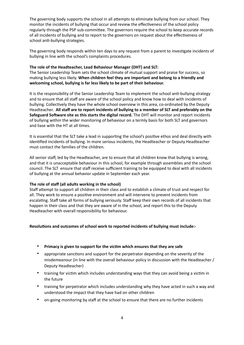The governing body supports the school in all attempts to eliminate bullying from our school. They monitor the incidents of bullying that occur and review the effectiveness of the school policy regularly through the PSP sub-committee. The governors require the school to keep accurate records of all incidents of bullying and to report to the governors on request about the effectiveness of school anti-bullying strategies.

The governing body responds within ten days to any request from a parent to investigate incidents of bullying in line with the school's complaints procedures.

#### **The role of the Headteacher, Lead Behaviour Manager (DHT) and SLT:**

The Senior Leadership Team sets the school climate of mutual support and praise for success, so making bullying less likely. **When children feel they are important and belong to a friendly and welcoming school, bullying is far less likely to be part of their behaviour.**

It is the responsibility of the Senior Leadership Team to implement the school anti-bullying strategy and to ensure that all staff are aware of the school policy and know how to deal with incidents of bullying. Collectively they have the whole school overview in this area, co-ordinated by the Deputy Headteacher. **All staff are to report incidents of bullying to a member of SLT and preferably on the Safeguard Software site as this starts the digital record.** The DHT will monitor and report incidents of bullying within the wider monitoring of behaviour on a termly basis for both SLT and governors and liase with the HT at all times.

It is essential that the SLT take a lead in supporting the school's positive ethos and deal directly with identified incidents of bullying. In more serious incidents, the Headteacher or Deputy Headteacher must contact the families of the children.

All senior staff, led by the Headteacher, are to ensure that all children know that bullying is wrong, and that it is unacceptable behaviour in this school, for example through assemblies and the school council. The SLT ensure that staff receive sufficient training to be equipped to deal with all incidents of bullying at the annual behavior update in September each year.

#### **The role of staff (all adults working in the school)**

Staff attempt to support all children in their class and to establish a climate of trust and respect for all. They work to ensure a positive environment and will intervene to prevent incidents from escalating. Staff take all forms of bullying seriously. Staff keep their own records of all incidents that happen in their class and that they are aware of in the school, and report this to the Deputy Headteacher with overall responsibility for behaviour.

#### **Resolutions and outcomes of school work to reported incidents of bullying must include:-**

- **Primacy is given to support for the victim which ensures that they are safe**
- appropriate sanctions and support for the perpetrator depending on the severity of the misdemeanour (in line with the overall behaviour policy in discussion with the Headteacher / Deputy Headteacher)
- training for victim which includes understanding ways that they can avoid being a victim in the future
- training for perpetrator which includes understanding why they have acted in such a way and understood the impact that they have had on other children
- on-going monitoring by staff at the school to ensure that there are no further incidents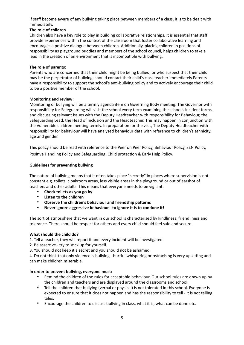If staff become aware of any bullying taking place between members of a class, it is to be dealt with immediately.

## **The role of children**

Children also have a key role to play in building collaborative relationships. It is essential that staff provide experiences within the context of the classroom that foster collaborative learning and encourages a positive dialogue between children. Additionally, placing children in positions of responsibility as playground buddies and members of the school council, helps children to take a lead in the creation of an environment that is incompatible with bullying.

## **The role of parents:**

Parents who are concerned that their child might be being bullied, or who suspect that their child may be the perpetrator of bullying, should contact their child's class teacher immediately.Parents have a responsibility to support the school's anti-bullying policy and to actively encourage their child to be a positive member of the school.

## **Monitoring and review:**

Monitoring of bullying will be a termly agenda item on Governing Body meeting. The Governor with responsibility for Safeguarding will visit the school every term examining the school's incident forms, and discussing relevant issues with the Deputy Headteacher with responsibility for Behaviour, the Safeguarding Lead, the Head of Inclusion and the Headteacher. This may happen in conjunction with the Vulnerable children meeting termly. In preparation for the visit, The Deputy Headteacher with responsibility for behaviour will have analysed behaviour data with reference to children's ethnicity, age and gender.

This policy should be read with reference to the Peer on Peer Policy, Behaviour Policy, SEN Policy, Positive Handling Policy and Safeguarding, Child protection & Early Help Policy.

## **Guidelines for preventing bullying**

The nature of bullying means that it often takes place "secretly" in places where supervision is not constant e.g. toilets, cloakroom areas, less visible areas in the playground or out of earshot of teachers and other adults. This means that everyone needs to be vigilant:

- **Check toilets as you go by**
- **Listen to the children**
- **Observe the children's behaviour and friendship patterns**
- **Never ignore aggressive behaviour to ignore it is to condone it!**

The sort of atmosphere that we want in our school is characterised by kindliness, friendliness and tolerance. There should be respect for others and every child should feel safe and secure.

#### **What should the child do?**

1. Tell a teacher, they will report it and every incident will be investigated.

- 2. Be assertive try to stick up for yourself.
- 3. You should not keep it a secret and you should not be ashamed.

4. Do not think that only violence is bullying - hurtful whispering or ostracising is very upsetting and can make children miserable.

#### **In order to prevent bullying, everyone must:**

- Remind the children of the rules for acceptable behaviour. Our school rules are drawn up by the children and teachers and are displayed around the classrooms and school.
- Tell the children that bullying (verbal or physical) is not tolerated in this school. Everyone is expected to ensure that it does not happen and has the responsibility to tell - it is not telling tales.
- Encourage the children to discuss bullying in class, what it is, what can be done etc.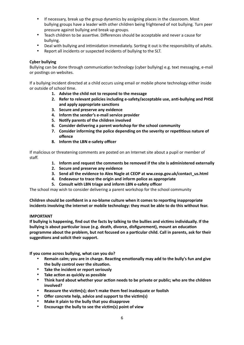- If necessary, break up the group dynamics by assigning places in the classroom. Most bullying groups have a leader with other children being frightened of not bullying. Turn peer pressure against bullying and break up groups.
- Teach children to be assertive. Differences should be acceptable and never a cause for bullying.
- Deal with bullying and intimidation immediately. Sorting it out is the responsibility of adults.
- Report all incidents or suspected incidents of bullying to the SLT.

#### **Cyber bullying**

Bullying can be done through communication technology (cyber bullying) e.g. text messaging, e-mail or postings on websites.

If a bullying incident directed at a child occurs using email or mobile phone technology either inside or outside of school time.

- **1. Advise the child not to respond to the message**
- **2. Refer to relevant policies including e-safety/acceptable use, anti-bullying and PHSE and apply appropriate sanctions**
- **3. Secure and preserve any evidence**
- **4. Inform the sender's e-mail service provider**
- **5. Notify parents of the children involved**
- **6. Consider delivering a parent workshop for the school community**
- **7. Consider informing the police depending on the severity or repetitious nature of offence**
- **8. Inform the LBN e-safety officer**

If malicious or threatening comments are posted on an Internet site about a pupil or member of staff.

- **1. Inform and request the comments be removed if the site is administered externally**
- **2. Secure and preserve any evidence**
- **3. Send all the evidence to Alex Nagle at CEOP at ww.ceop.gov.uk/contact\_us.html**
- **4. Endeavour to trace the origin and inform police as appropriate**
- **5. Consult with LBN triage and inform LBN e-safety officer**

The school may wish to consider delivering a parent workshop for the school community

**Children should be confident in a no-blame culture when it comes to reporting inappropriate incidents involving the internet or mobile technology: they must be able to do this without fear.** 

#### **IMPORTANT**

**If bullying is happening, find out the facts by talking to the bullies and victims individually. If the bullying is about particular issue (e.g. death, divorce, disfigurement), mount an education programme about the problem, but not focused on a particular child. Call in parents, ask for their suggestions and solicit their support.**

**If you come across bullying, what can you do?**

- **Remain calm; you are in charge. Reacting emotionally may add to the bully's fun and give the bully control over the situation.**
- **Take the incident or report seriously**
- **Take action as quickly as possible**
- **Think hard about whether your action needs to be private or public; who are the children involved?**
- **Reassure the victim(s); don't make them feel inadequate or foolish**
- **Offer concrete help, advice and support to the victim(s)**
- **Make it plain to the bully that you disapprove**
- **Encourage the bully to see the victim(s) point of view**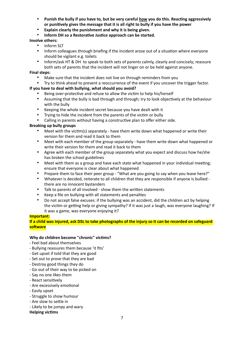- **Punish the bully if you have to, but be very careful how you do this. Reacting aggressively or punitively gives the message that it is all right to bully if you have the power**
- **Explain clearly the punishment and why it is being given.**
- **Inform DH so a Restorative Justice approach can be started.**

## **Involve others:**

- Inform SLT
- Inform colleagues through briefing if the incident arose out of a situation where everyone should be vigilant e.g. toilets
- Inform/ask HT & DH to speak to both sets of parents calmly, clearly and concisely; reassure both sets of parents that the incident will not linger on or be held against anyone.

#### **Final steps:**

- Make sure that the incident does not live on through reminders from you
- Try to think ahead to prevent a reoccurrence of the event if you uncover the trigger factor.

#### **If you have to deal with bullying, what should you avoid?**

- Being over-protective and refuse to allow the victim to help his/herself
- Assuming that the bully is bad through and through; try to look objectively at the behaviour with the bully
- Keeping the whole incident secret because you have dealt with it
- Trying to hide the incident from the parents of the victim or bully<br>• Calling in narents without having a constructive plan to offer eithe
- Calling in parents without having a constructive plan to offer either side.

#### **Breaking up bully groups**

- Meet with the victim(s) separately have them write down what happened or write their version for them and read it back to them
- Meet with each member of the group separately have them write down what happened or write their version for them and read it back to them
- Agree with each member of the group separately what you expect and discuss how he/she has broken the school guidelines
- Meet with them as a group and have each state what happened in your individual meeting; ensure that everyone is clear about what happened
- Prepare them to face their peer group "What are you going to say when you leave here?"
- Whatever is decided, reiterate to all children that they are responsible if anyone is bullied there are no innocent bystanders
- Talk to parents of all involved show them the written statements
- Keep a file on bullying with all statements and penalties
- Do not accept false excuses: if the bullying was an accident, did the children act by helping the victim or getting help or giving sympathy? If it was just a laugh, was everyone laughing? If it was a game, was everyone enjoying it?

#### **Important:**

**If a child was injured, ask DSL to take photographs of the injury so it can be recorded on safeguard software**

#### **Why do children become "chronic" victims?**

- Feel bad about themselves
- Bullying reassures them because 'it fits'
- Get upset if told that they are good
- Set out to prove that they are bad
- Destroy good things they do
- Go out of their way to be picked on
- Say no one likes them
- React sensitively
- Are excessively emotional
- Easily upset
- Struggle to show humour
- Are slow to settle in
- Likely to be jumpy and wary

#### **Helping victims**